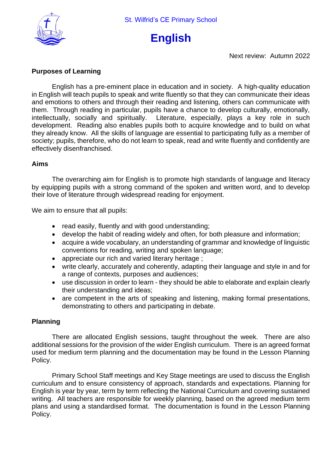



Next review: Autumn 2022

## **Purposes of Learning**

English has a pre-eminent place in education and in society. A high-quality education in English will teach pupils to speak and write fluently so that they can communicate their ideas and emotions to others and through their reading and listening, others can communicate with them. Through reading in particular, pupils have a chance to develop culturally, emotionally, intellectually, socially and spiritually. Literature, especially, plays a key role in such development. Reading also enables pupils both to acquire knowledge and to build on what they already know. All the skills of language are essential to participating fully as a member of society; pupils, therefore, who do not learn to speak, read and write fluently and confidently are effectively disenfranchised.

## **Aims**

The overarching aim for English is to promote high standards of language and literacy by equipping pupils with a strong command of the spoken and written word, and to develop their love of literature through widespread reading for enjoyment.

We aim to ensure that all pupils:

- read easily, fluently and with good understanding;
- develop the habit of reading widely and often, for both pleasure and information;
- acquire a wide vocabulary, an understanding of grammar and knowledge of linguistic conventions for reading, writing and spoken language;
- appreciate our rich and varied literary heritage ;
- write clearly, accurately and coherently, adapting their language and style in and for a range of contexts, purposes and audiences;
- use discussion in order to learn they should be able to elaborate and explain clearly their understanding and ideas;
- are competent in the arts of speaking and listening, making formal presentations, demonstrating to others and participating in debate.

## **Planning**

There are allocated English sessions, taught throughout the week. There are also additional sessions for the provision of the wider English curriculum. There is an agreed format used for medium term planning and the documentation may be found in the Lesson Planning Policy.

Primary School Staff meetings and Key Stage meetings are used to discuss the English curriculum and to ensure consistency of approach, standards and expectations. Planning for English is year by year, term by term reflecting the National Curriculum and covering sustained writing. All teachers are responsible for weekly planning, based on the agreed medium term plans and using a standardised format. The documentation is found in the Lesson Planning Policy.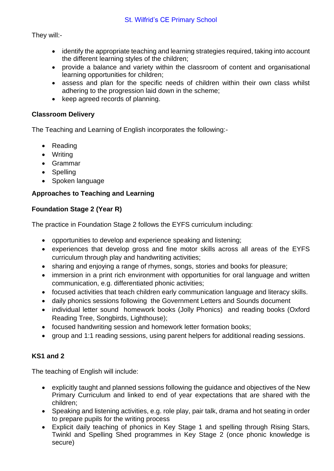They will:-

- identify the appropriate teaching and learning strategies required, taking into account the different learning styles of the children;
- provide a balance and variety within the classroom of content and organisational learning opportunities for children;
- assess and plan for the specific needs of children within their own class whilst adhering to the progression laid down in the scheme;
- keep agreed records of planning.

# **Classroom Delivery**

The Teaching and Learning of English incorporates the following:-

- Reading
- Writing
- Grammar
- Spelling
- Spoken language

# **Approaches to Teaching and Learning**

# **Foundation Stage 2 (Year R)**

The practice in Foundation Stage 2 follows the EYFS curriculum including:

- opportunities to develop and experience speaking and listening;
- experiences that develop gross and fine motor skills across all areas of the EYFS curriculum through play and handwriting activities;
- sharing and enjoying a range of rhymes, songs, stories and books for pleasure;
- immersion in a print rich environment with opportunities for oral language and written communication, e.g. differentiated phonic activities;
- focused activities that teach children early communication language and literacy skills.
- daily phonics sessions following the Government Letters and Sounds document
- individual letter sound homework books (Jolly Phonics) and reading books (Oxford Reading Tree, Songbirds, Lighthouse);
- focused handwriting session and homework letter formation books;
- group and 1:1 reading sessions, using parent helpers for additional reading sessions.

# **KS1 and 2**

The teaching of English will include:

- explicitly taught and planned sessions following the guidance and objectives of the New Primary Curriculum and linked to end of year expectations that are shared with the children;
- Speaking and listening activities, e.g. role play, pair talk, drama and hot seating in order to prepare pupils for the writing process
- Explicit daily teaching of phonics in Key Stage 1 and spelling through Rising Stars, Twinkl and Spelling Shed programmes in Key Stage 2 (once phonic knowledge is secure)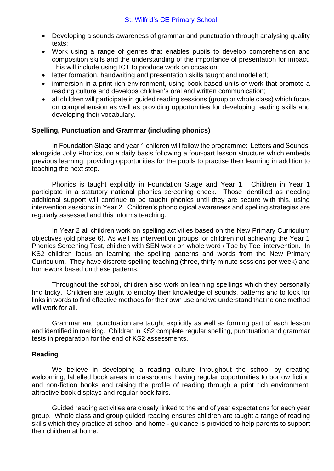- Developing a sounds awareness of grammar and punctuation through analysing quality texts;
- Work using a range of genres that enables pupils to develop comprehension and composition skills and the understanding of the importance of presentation for impact. This will include using ICT to produce work on occasion;
- letter formation, handwriting and presentation skills taught and modelled;
- immersion in a print rich environment, using book-based units of work that promote a reading culture and develops children's oral and written communication;
- all children will participate in guided reading sessions (group or whole class) which focus on comprehension as well as providing opportunities for developing reading skills and developing their vocabulary.

## **Spelling, Punctuation and Grammar (including phonics)**

In Foundation Stage and year 1 children will follow the programme: 'Letters and Sounds' alongside Jolly Phonics, on a daily basis following a four-part lesson structure which embeds previous learning, providing opportunities for the pupils to practise their learning in addition to teaching the next step.

Phonics is taught explicitly in Foundation Stage and Year 1. Children in Year 1 participate in a statutory national phonics screening check. Those identified as needing additional support will continue to be taught phonics until they are secure with this, using intervention sessions in Year 2. Children's phonological awareness and spelling strategies are regularly assessed and this informs teaching.

In Year 2 all children work on spelling activities based on the New Primary Curriculum objectives (old phase 6). As well as intervention groups for children not achieving the Year 1 Phonics Screening Test, children with SEN work on whole word / Toe by Toe intervention. In KS2 children focus on learning the spelling patterns and words from the New Primary Curriculum. They have discrete spelling teaching (three, thirty minute sessions per week) and homework based on these patterns.

Throughout the school, children also work on learning spellings which they personally find tricky. Children are taught to employ their knowledge of sounds, patterns and to look for links in words to find effective methods for their own use and we understand that no one method will work for all.

Grammar and punctuation are taught explicitly as well as forming part of each lesson and identified in marking. Children in KS2 complete regular spelling, punctuation and grammar tests in preparation for the end of KS2 assessments.

## **Reading**

We believe in developing a reading culture throughout the school by creating welcoming, labelled book areas in classrooms, having regular opportunities to borrow fiction and non-fiction books and raising the profile of reading through a print rich environment, attractive book displays and regular book fairs.

Guided reading activities are closely linked to the end of year expectations for each year group. Whole class and group guided reading ensures children are taught a range of reading skills which they practice at school and home - guidance is provided to help parents to support their children at home.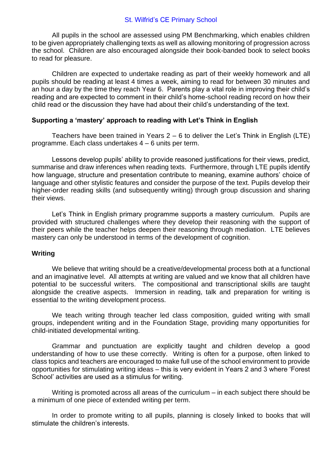### St. Wilfrid's CE Primary School

All pupils in the school are assessed using PM Benchmarking, which enables children to be given appropriately challenging texts as well as allowing monitoring of progression across the school. Children are also encouraged alongside their book-banded book to select books to read for pleasure.

Children are expected to undertake reading as part of their weekly homework and all pupils should be reading at least 4 times a week, aiming to read for between 30 minutes and an hour a day by the time they reach Year 6. Parents play a vital role in improving their child's reading and are expected to comment in their child's home-school reading record on how their child read or the discussion they have had about their child's understanding of the text.

### **Supporting a 'mastery' approach to reading with Let's Think in English**

Teachers have been trained in Years  $2 - 6$  to deliver the Let's Think in English (LTE) programme. Each class undertakes 4 – 6 units per term.

Lessons develop pupils' ability to provide reasoned justifications for their views, predict, summarise and draw inferences when reading texts. Furthermore, through LTE pupils identify how language, structure and presentation contribute to meaning, examine authors' choice of language and other stylistic features and consider the purpose of the text. Pupils develop their higher-order reading skills (and subsequently writing) through group discussion and sharing their views.

Let's Think in English primary programme supports a mastery curriculum. Pupils are provided with structured challenges where they develop their reasoning with the support of their peers while the teacher helps deepen their reasoning through mediation. LTE believes mastery can only be understood in terms of the development of cognition.

### **Writing**

We believe that writing should be a creative/developmental process both at a functional and an imaginative level. All attempts at writing are valued and we know that all children have potential to be successful writers. The compositional and transcriptional skills are taught alongside the creative aspects. Immersion in reading, talk and preparation for writing is essential to the writing development process.

We teach writing through teacher led class composition, guided writing with small groups, independent writing and in the Foundation Stage, providing many opportunities for child-initiated developmental writing.

Grammar and punctuation are explicitly taught and children develop a good understanding of how to use these correctly. Writing is often for a purpose, often linked to class topics and teachers are encouraged to make full use of the school environment to provide opportunities for stimulating writing ideas – this is very evident in Years 2 and 3 where 'Forest School' activities are used as a stimulus for writing.

Writing is promoted across all areas of the curriculum – in each subject there should be a minimum of one piece of extended writing per term.

In order to promote writing to all pupils, planning is closely linked to books that will stimulate the children's interests.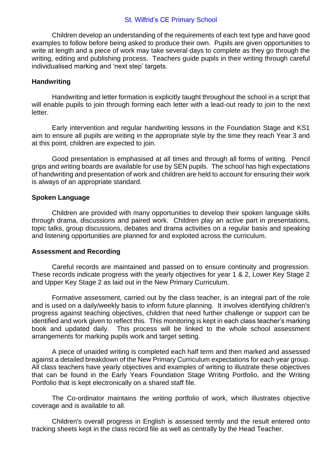### St. Wilfrid's CE Primary School

Children develop an understanding of the requirements of each text type and have good examples to follow before being asked to produce their own. Pupils are given opportunities to write at length and a piece of work may take several days to complete as they go through the writing, editing and publishing process. Teachers guide pupils in their writing through careful individualised marking and 'next step' targets.

### **Handwriting**

Handwriting and letter formation is explicitly taught throughout the school in a script that will enable pupils to join through forming each letter with a lead-out ready to join to the next letter.

Early intervention and regular handwriting lessons in the Foundation Stage and KS1 aim to ensure all pupils are writing in the appropriate style by the time they reach Year 3 and at this point, children are expected to join.

Good presentation is emphasised at all times and through all forms of writing. Pencil grips and writing boards are available for use by SEN pupils. The school has high expectations of handwriting and presentation of work and children are held to account for ensuring their work is always of an appropriate standard.

#### **Spoken Language**

Children are provided with many opportunities to develop their spoken language skills through drama, discussions and paired work. Children play an active part in presentations, topic talks, group discussions, debates and drama activities on a regular basis and speaking and listening opportunities are planned for and exploited across the curriculum.

### **Assessment and Recording**

Careful records are maintained and passed on to ensure continuity and progression. These records indicate progress with the yearly objectives for year 1 & 2, Lower Key Stage 2 and Upper Key Stage 2 as laid out in the New Primary Curriculum.

Formative assessment, carried out by the class teacher, is an integral part of the role and is used on a daily/weekly basis to inform future planning. It involves identifying children's progress against teaching objectives, children that need further challenge or support can be identified and work given to reflect this. This monitoring is kept in each class teacher's marking book and updated daily. This process will be linked to the whole school assessment arrangements for marking pupils work and target setting.

A piece of unaided writing is completed each half term and then marked and assessed against a detailed breakdown of the New Primary Curriculum expectations for each year group. All class teachers have yearly objectives and examples of writing to illustrate these objectives that can be found in the Early Years Foundation Stage Writing Portfolio, and the Writing Portfolio that is kept electronically on a shared staff file.

The Co-ordinator maintains the writing portfolio of work, which illustrates objective coverage and is available to all.

Children's overall progress in English is assessed termly and the result entered onto tracking sheets kept in the class record file as well as centrally by the Head Teacher.